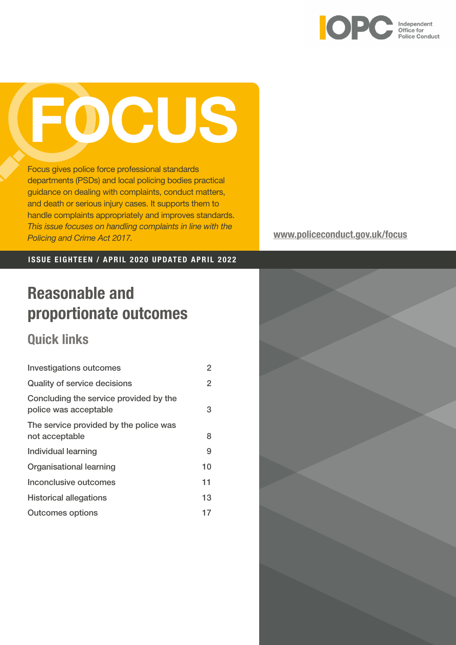

# FOCUS

Focus gives police force professional standards departments (PSDs) and local policing bodies practical guidance on dealing with complaints, conduct matters, and death or serious injury cases. It supports them to handle complaints appropriately and improves standards. *This issue focuses on handling complaints in line with the Policing and Crime Act 2017.* We have a set of the [www.policeconduct.gov.uk/focus](https://www.policeconduct.gov.uk/research-and-learning/learning-and-recommendations/focus)

#### ISSUE EIGHTEEN / APRIL 2020 UPDATED APRIL 2022

# Reasonable and proportionate outcomes

## Quick links

| <b>Investigations outcomes</b>                                  | 2  |
|-----------------------------------------------------------------|----|
| <b>Quality of service decisions</b>                             | 2  |
| Concluding the service provided by the<br>police was acceptable | 3  |
| The service provided by the police was<br>not acceptable        | 8  |
| Individual learning                                             | 9  |
| Organisational learning                                         | 10 |
| Inconclusive outcomes                                           | 11 |
| <b>Historical allegations</b>                                   | 13 |
| <b>Outcomes options</b>                                         | 17 |

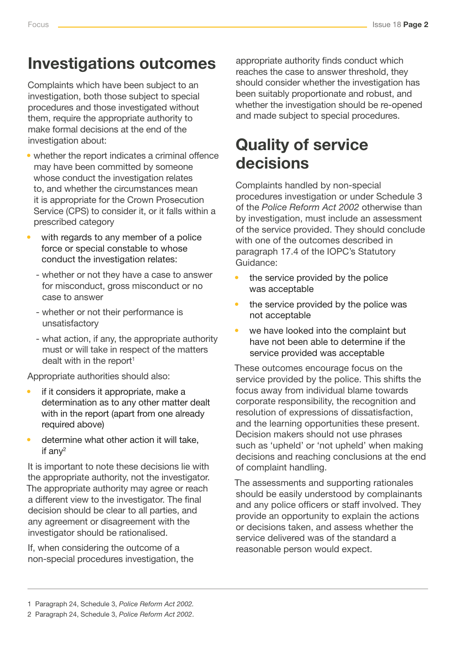# <span id="page-1-0"></span>Investigations outcomes

Complaints which have been subject to an investigation, both those subject to special procedures and those investigated without them, require the appropriate authority to make formal decisions at the end of the investigation about:

- whether the report indicates a criminal offence may have been committed by someone whose conduct the investigation relates to, and whether the circumstances mean it is appropriate for the Crown Prosecution Service (CPS) to consider it, or it falls within a prescribed category
- with regards to any member of a police force or special constable to whose conduct the investigation relates:
	- whether or not they have a case to answer for misconduct, gross misconduct or no case to answer
	- whether or not their performance is unsatisfactory
	- what action, if any, the appropriate authority must or will take in respect of the matters dealt with in the report<sup>1</sup>

Appropriate authorities should also:

- if it considers it appropriate, make a determination as to any other matter dealt with in the report (apart from one already required above)
- determine what other action it will take, if an $v^2$

It is important to note these decisions lie with the appropriate authority, not the investigator. The appropriate authority may agree or reach a different view to the investigator. The final decision should be clear to all parties, and any agreement or disagreement with the investigator should be rationalised.

If, when considering the outcome of a non-special procedures investigation, the appropriate authority finds conduct which reaches the case to answer threshold, they should consider whether the investigation has been suitably proportionate and robust, and whether the investigation should be re-opened and made subject to special procedures.

# Quality of service decisions

Complaints handled by non-special procedures investigation or under Schedule 3 of the *Police Reform Act 2002* otherwise than by investigation, must include an assessment of the service provided. They should conclude with one of the outcomes described in paragraph 17.4 of the IOPC's Statutory Guidance:

- the service provided by the police was acceptable
- the service provided by the police was not acceptable
- we have looked into the complaint but have not been able to determine if the service provided was acceptable

These outcomes encourage focus on the service provided by the police. This shifts the focus away from individual blame towards corporate responsibility, the recognition and resolution of expressions of dissatisfaction, and the learning opportunities these present. Decision makers should not use phrases such as 'upheld' or 'not upheld' when making decisions and reaching conclusions at the end of complaint handling.

The assessments and supporting rationales should be easily understood by complainants and any police officers or staff involved. They provide an opportunity to explain the actions or decisions taken, and assess whether the service delivered was of the standard a reasonable person would expect.

<sup>1</sup> Paragraph 24, Schedule 3, *Police Reform Act 2002.*

<sup>2</sup> Paragraph 24, Schedule 3, *Police Reform Act 2002*.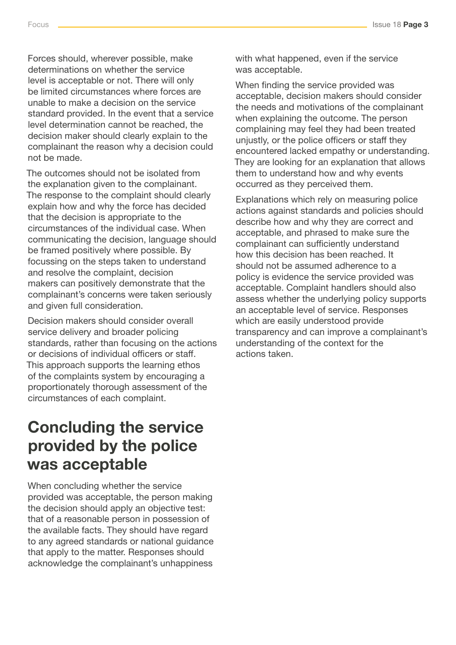<span id="page-2-0"></span>Forces should, wherever possible, make determinations on whether the service level is acceptable or not. There will only be limited circumstances where forces are unable to make a decision on the service standard provided. In the event that a service level determination cannot be reached, the decision maker should clearly explain to the complainant the reason why a decision could not be made.

The outcomes should not be isolated from the explanation given to the complainant. The response to the complaint should clearly explain how and why the force has decided that the decision is appropriate to the circumstances of the individual case. When communicating the decision, language should be framed positively where possible. By focussing on the steps taken to understand and resolve the complaint, decision makers can positively demonstrate that the complainant's concerns were taken seriously and given full consideration.

Decision makers should consider overall service delivery and broader policing standards, rather than focusing on the actions or decisions of individual officers or staff. This approach supports the learning ethos of the complaints system by encouraging a proportionately thorough assessment of the circumstances of each complaint.

# Concluding the service provided by the police was acceptable

When concluding whether the service provided was acceptable, the person making the decision should apply an objective test: that of a reasonable person in possession of the available facts. They should have regard to any agreed standards or national guidance that apply to the matter. Responses should acknowledge the complainant's unhappiness

with what happened, even if the service was acceptable.

When finding the service provided was acceptable, decision makers should consider the needs and motivations of the complainant when explaining the outcome. The person complaining may feel they had been treated unjustly, or the police officers or staff they encountered lacked empathy or understanding. They are looking for an explanation that allows them to understand how and why events occurred as they perceived them.

Explanations which rely on measuring police actions against standards and policies should describe how and why they are correct and acceptable, and phrased to make sure the complainant can sufficiently understand how this decision has been reached. It should not be assumed adherence to a policy is evidence the service provided was acceptable. Complaint handlers should also assess whether the underlying policy supports an acceptable level of service. Responses which are easily understood provide transparency and can improve a complainant's understanding of the context for the actions taken.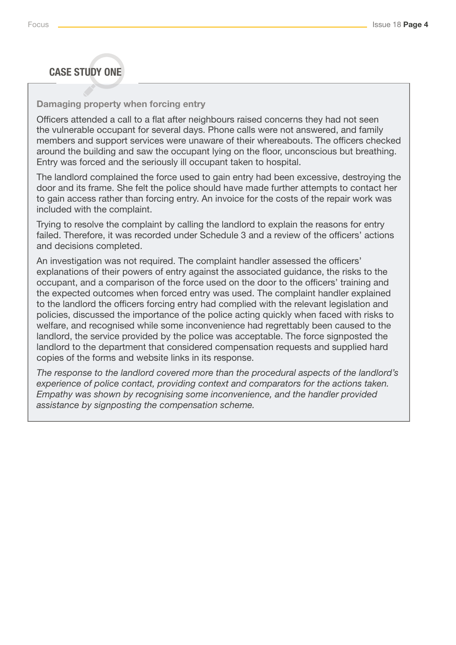#### CASE STUDY ONE

#### Damaging property when forcing entry

Officers attended a call to a flat after neighbours raised concerns they had not seen the vulnerable occupant for several days. Phone calls were not answered, and family members and support services were unaware of their whereabouts. The officers checked around the building and saw the occupant lying on the floor, unconscious but breathing. Entry was forced and the seriously ill occupant taken to hospital.

The landlord complained the force used to gain entry had been excessive, destroying the door and its frame. She felt the police should have made further attempts to contact her to gain access rather than forcing entry. An invoice for the costs of the repair work was included with the complaint.

Trying to resolve the complaint by calling the landlord to explain the reasons for entry failed. Therefore, it was recorded under Schedule 3 and a review of the officers' actions and decisions completed.

An investigation was not required. The complaint handler assessed the officers' explanations of their powers of entry against the associated guidance, the risks to the occupant, and a comparison of the force used on the door to the officers' training and the expected outcomes when forced entry was used. The complaint handler explained to the landlord the officers forcing entry had complied with the relevant legislation and policies, discussed the importance of the police acting quickly when faced with risks to welfare, and recognised while some inconvenience had regrettably been caused to the landlord, the service provided by the police was acceptable. The force signposted the landlord to the department that considered compensation requests and supplied hard copies of the forms and website links in its response.

*The response to the landlord covered more than the procedural aspects of the landlord's experience of police contact, providing context and comparators for the actions taken. Empathy was shown by recognising some inconvenience, and the handler provided assistance by signposting the compensation scheme.*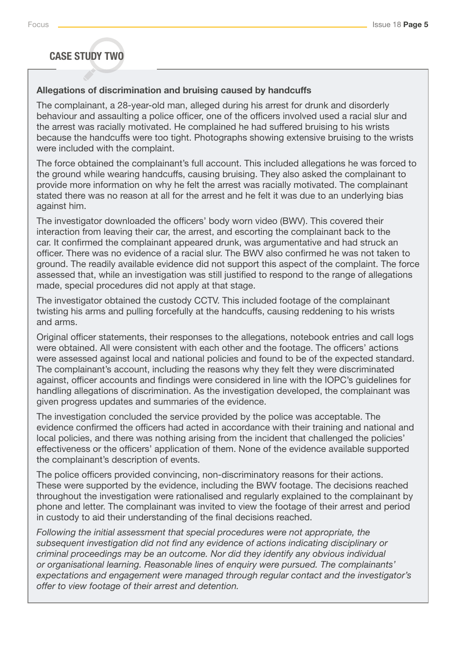## CASE STUDY TWO

#### Allegations of discrimination and bruising caused by handcuffs

The complainant, a 28-year-old man, alleged during his arrest for drunk and disorderly behaviour and assaulting a police officer, one of the officers involved used a racial slur and the arrest was racially motivated. He complained he had suffered bruising to his wrists because the handcuffs were too tight. Photographs showing extensive bruising to the wrists were included with the complaint.

The force obtained the complainant's full account. This included allegations he was forced to the ground while wearing handcuffs, causing bruising. They also asked the complainant to provide more information on why he felt the arrest was racially motivated. The complainant stated there was no reason at all for the arrest and he felt it was due to an underlying bias against him.

The investigator downloaded the officers' body worn video (BWV). This covered their interaction from leaving their car, the arrest, and escorting the complainant back to the car. It confirmed the complainant appeared drunk, was argumentative and had struck an officer. There was no evidence of a racial slur. The BWV also confirmed he was not taken to ground. The readily available evidence did not support this aspect of the complaint. The force assessed that, while an investigation was still justified to respond to the range of allegations made, special procedures did not apply at that stage.

The investigator obtained the custody CCTV. This included footage of the complainant twisting his arms and pulling forcefully at the handcuffs, causing reddening to his wrists and arms.

Original officer statements, their responses to the allegations, notebook entries and call logs were obtained. All were consistent with each other and the footage. The officers' actions were assessed against local and national policies and found to be of the expected standard. The complainant's account, including the reasons why they felt they were discriminated against, officer accounts and findings were considered in line with the IOPC's guidelines for handling allegations of discrimination. As the investigation developed, the complainant was given progress updates and summaries of the evidence.

The investigation concluded the service provided by the police was acceptable. The evidence confirmed the officers had acted in accordance with their training and national and local policies, and there was nothing arising from the incident that challenged the policies' effectiveness or the officers' application of them. None of the evidence available supported the complainant's description of events.

The police officers provided convincing, non-discriminatory reasons for their actions. These were supported by the evidence, including the BWV footage. The decisions reached throughout the investigation were rationalised and regularly explained to the complainant by phone and letter. The complainant was invited to view the footage of their arrest and period in custody to aid their understanding of the final decisions reached.

*Following the initial assessment that special procedures were not appropriate, the subsequent investigation did not find any evidence of actions indicating disciplinary or criminal proceedings may be an outcome. Nor did they identify any obvious individual or organisational learning. Reasonable lines of enquiry were pursued. The complainants' expectations and engagement were managed through regular contact and the investigator's offer to view footage of their arrest and detention.*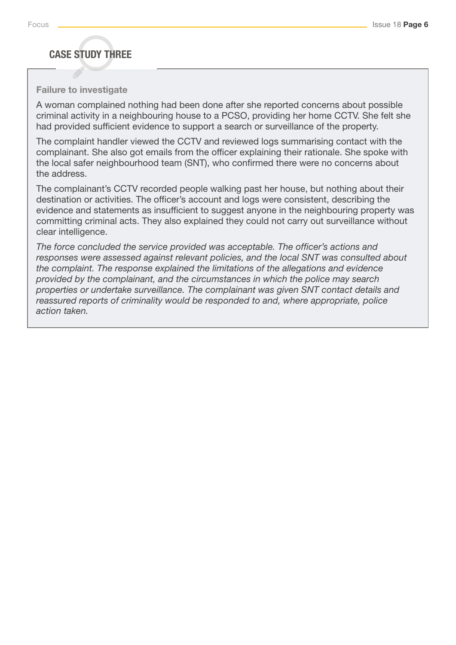## **CASE STUDY THREE**

#### Failure to investigate

A woman complained nothing had been done after she reported concerns about possible criminal activity in a neighbouring house to a PCSO, providing her home CCTV. She felt she had provided sufficient evidence to support a search or surveillance of the property.

The complaint handler viewed the CCTV and reviewed logs summarising contact with the complainant. She also got emails from the officer explaining their rationale. She spoke with the local safer neighbourhood team (SNT), who confirmed there were no concerns about the address.

The complainant's CCTV recorded people walking past her house, but nothing about their destination or activities. The officer's account and logs were consistent, describing the evidence and statements as insufficient to suggest anyone in the neighbouring property was committing criminal acts. They also explained they could not carry out surveillance without clear intelligence.

*The force concluded the service provided was acceptable. The officer's actions and responses were assessed against relevant policies, and the local SNT was consulted about the complaint. The response explained the limitations of the allegations and evidence provided by the complainant, and the circumstances in which the police may search properties or undertake surveillance. The complainant was given SNT contact details and reassured reports of criminality would be responded to and, where appropriate, police action taken.*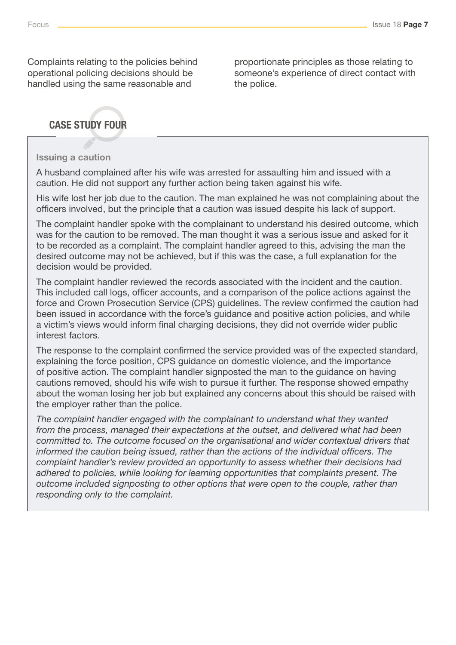proportionate principles as those relating to someone's experience of direct contact with the police.

## CASE STUDY FOUR

#### Issuing a caution

A husband complained after his wife was arrested for assaulting him and issued with a caution. He did not support any further action being taken against his wife.

His wife lost her job due to the caution. The man explained he was not complaining about the officers involved, but the principle that a caution was issued despite his lack of support.

The complaint handler spoke with the complainant to understand his desired outcome, which was for the caution to be removed. The man thought it was a serious issue and asked for it to be recorded as a complaint. The complaint handler agreed to this, advising the man the desired outcome may not be achieved, but if this was the case, a full explanation for the decision would be provided.

The complaint handler reviewed the records associated with the incident and the caution. This included call logs, officer accounts, and a comparison of the police actions against the force and Crown Prosecution Service (CPS) guidelines. The review confirmed the caution had been issued in accordance with the force's guidance and positive action policies, and while a victim's views would inform final charging decisions, they did not override wider public interest factors.

The response to the complaint confirmed the service provided was of the expected standard, explaining the force position, CPS guidance on domestic violence, and the importance of positive action. The complaint handler signposted the man to the guidance on having cautions removed, should his wife wish to pursue it further. The response showed empathy about the woman losing her job but explained any concerns about this should be raised with the employer rather than the police.

*The complaint handler engaged with the complainant to understand what they wanted*  from the process, managed their expectations at the outset, and delivered what had been *committed to. The outcome focused on the organisational and wider contextual drivers that informed the caution being issued, rather than the actions of the individual officers. The complaint handler's review provided an opportunity to assess whether their decisions had adhered to policies, while looking for learning opportunities that complaints present. The outcome included signposting to other options that were open to the couple, rather than responding only to the complaint.*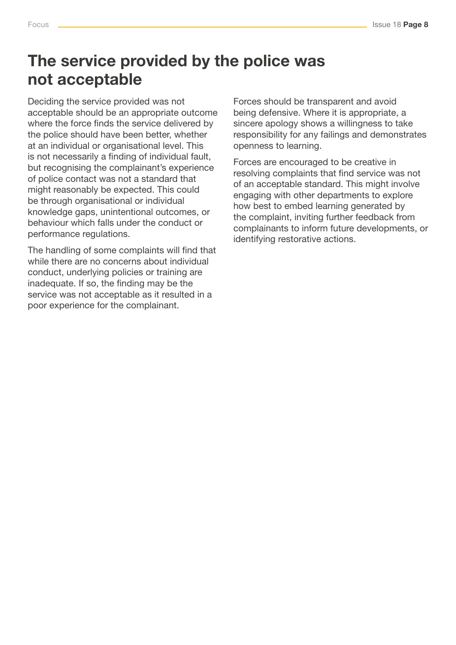# <span id="page-7-0"></span>The service provided by the police was not acceptable

Deciding the service provided was not acceptable should be an appropriate outcome where the force finds the service delivered by the police should have been better, whether at an individual or organisational level. This is not necessarily a finding of individual fault, but recognising the complainant's experience of police contact was not a standard that might reasonably be expected. This could be through organisational or individual knowledge gaps, unintentional outcomes, or behaviour which falls under the conduct or performance regulations.

The handling of some complaints will find that while there are no concerns about individual conduct, underlying policies or training are inadequate. If so, the finding may be the service was not acceptable as it resulted in a poor experience for the complainant.

Forces should be transparent and avoid being defensive. Where it is appropriate, a sincere apology shows a willingness to take responsibility for any failings and demonstrates openness to learning.

Forces are encouraged to be creative in resolving complaints that find service was not of an acceptable standard. This might involve engaging with other departments to explore how best to embed learning generated by the complaint, inviting further feedback from complainants to inform future developments, or identifying restorative actions.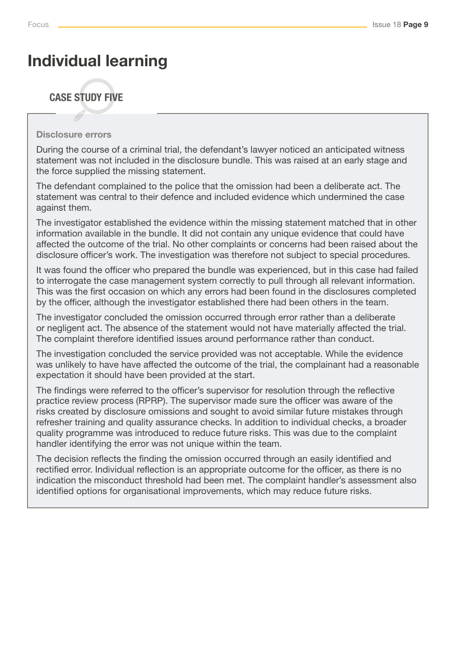# <span id="page-8-0"></span>Individual learning

## CASE STUDY FIVE

#### Disclosure errors

During the course of a criminal trial, the defendant's lawyer noticed an anticipated witness statement was not included in the disclosure bundle. This was raised at an early stage and the force supplied the missing statement.

The defendant complained to the police that the omission had been a deliberate act. The statement was central to their defence and included evidence which undermined the case against them.

The investigator established the evidence within the missing statement matched that in other information available in the bundle. It did not contain any unique evidence that could have affected the outcome of the trial. No other complaints or concerns had been raised about the disclosure officer's work. The investigation was therefore not subject to special procedures.

It was found the officer who prepared the bundle was experienced, but in this case had failed to interrogate the case management system correctly to pull through all relevant information. This was the first occasion on which any errors had been found in the disclosures completed by the officer, although the investigator established there had been others in the team.

The investigator concluded the omission occurred through error rather than a deliberate or negligent act. The absence of the statement would not have materially affected the trial. The complaint therefore identified issues around performance rather than conduct.

The investigation concluded the service provided was not acceptable. While the evidence was unlikely to have have affected the outcome of the trial, the complainant had a reasonable expectation it should have been provided at the start.

The findings were referred to the officer's supervisor for resolution through the reflective practice review process (RPRP). The supervisor made sure the officer was aware of the risks created by disclosure omissions and sought to avoid similar future mistakes through refresher training and quality assurance checks. In addition to individual checks, a broader quality programme was introduced to reduce future risks. This was due to the complaint handler identifying the error was not unique within the team.

The decision reflects the finding the omission occurred through an easily identified and rectified error. Individual reflection is an appropriate outcome for the officer, as there is no indication the misconduct threshold had been met. The complaint handler's assessment also identified options for organisational improvements, which may reduce future risks.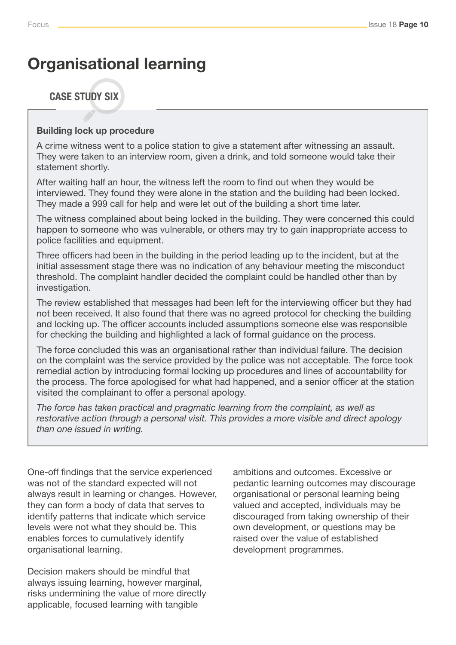# <span id="page-9-0"></span>Organisational learning

## CASE STUDY SIX

#### Building lock up procedure

A crime witness went to a police station to give a statement after witnessing an assault. They were taken to an interview room, given a drink, and told someone would take their statement shortly.

After waiting half an hour, the witness left the room to find out when they would be interviewed. They found they were alone in the station and the building had been locked. They made a 999 call for help and were let out of the building a short time later.

The witness complained about being locked in the building. They were concerned this could happen to someone who was vulnerable, or others may try to gain inappropriate access to police facilities and equipment.

Three officers had been in the building in the period leading up to the incident, but at the initial assessment stage there was no indication of any behaviour meeting the misconduct threshold. The complaint handler decided the complaint could be handled other than by investigation.

The review established that messages had been left for the interviewing officer but they had not been received. It also found that there was no agreed protocol for checking the building and locking up. The officer accounts included assumptions someone else was responsible for checking the building and highlighted a lack of formal guidance on the process.

The force concluded this was an organisational rather than individual failure. The decision on the complaint was the service provided by the police was not acceptable. The force took remedial action by introducing formal locking up procedures and lines of accountability for the process. The force apologised for what had happened, and a senior officer at the station visited the complainant to offer a personal apology.

*The force has taken practical and pragmatic learning from the complaint, as well as restorative action through a personal visit. This provides a more visible and direct apology than one issued in writing.*

One-off findings that the service experienced was not of the standard expected will not always result in learning or changes. However, they can form a body of data that serves to identify patterns that indicate which service levels were not what they should be. This enables forces to cumulatively identify organisational learning.

Decision makers should be mindful that always issuing learning, however marginal, risks undermining the value of more directly applicable, focused learning with tangible

ambitions and outcomes. Excessive or pedantic learning outcomes may discourage organisational or personal learning being valued and accepted, individuals may be discouraged from taking ownership of their own development, or questions may be raised over the value of established development programmes.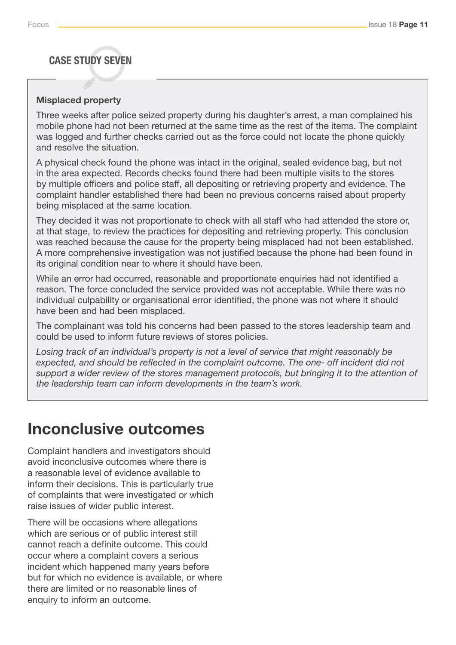## <span id="page-10-0"></span>CASE STUDY SEVEN

#### Misplaced property

Three weeks after police seized property during his daughter's arrest, a man complained his mobile phone had not been returned at the same time as the rest of the items. The complaint was logged and further checks carried out as the force could not locate the phone quickly and resolve the situation.

A physical check found the phone was intact in the original, sealed evidence bag, but not in the area expected. Records checks found there had been multiple visits to the stores by multiple officers and police staff, all depositing or retrieving property and evidence. The complaint handler established there had been no previous concerns raised about property being misplaced at the same location.

They decided it was not proportionate to check with all staff who had attended the store or, at that stage, to review the practices for depositing and retrieving property. This conclusion was reached because the cause for the property being misplaced had not been established. A more comprehensive investigation was not justified because the phone had been found in its original condition near to where it should have been.

While an error had occurred, reasonable and proportionate enquiries had not identified a reason. The force concluded the service provided was not acceptable. While there was no individual culpability or organisational error identified, the phone was not where it should have been and had been misplaced.

The complainant was told his concerns had been passed to the stores leadership team and could be used to inform future reviews of stores policies.

*Losing track of an individual's property is not a level of service that might reasonably be expected, and should be reflected in the complaint outcome. The one- off incident did not support a wider review of the stores management protocols, but bringing it to the attention of the leadership team can inform developments in the team's work.*

# Inconclusive outcomes

Complaint handlers and investigators should avoid inconclusive outcomes where there is a reasonable level of evidence available to inform their decisions. This is particularly true of complaints that were investigated or which raise issues of wider public interest.

There will be occasions where allegations which are serious or of public interest still cannot reach a definite outcome. This could occur where a complaint covers a serious incident which happened many years before but for which no evidence is available, or where there are limited or no reasonable lines of enquiry to inform an outcome.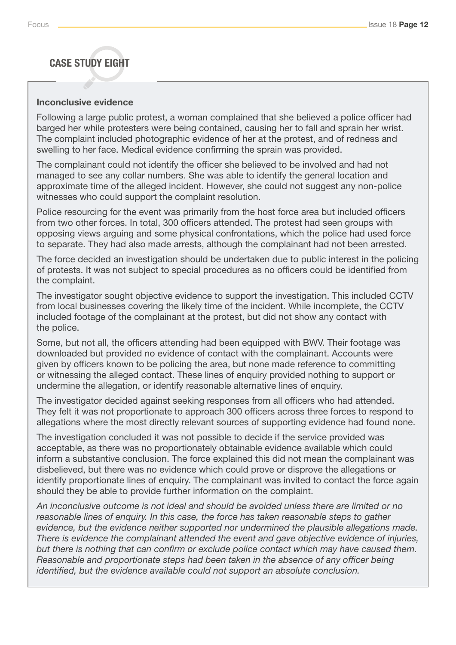## CASE STUDY EIGHT

#### Inconclusive evidence

Following a large public protest, a woman complained that she believed a police officer had barged her while protesters were being contained, causing her to fall and sprain her wrist. The complaint included photographic evidence of her at the protest, and of redness and swelling to her face. Medical evidence confirming the sprain was provided.

The complainant could not identify the officer she believed to be involved and had not managed to see any collar numbers. She was able to identify the general location and approximate time of the alleged incident. However, she could not suggest any non-police witnesses who could support the complaint resolution.

Police resourcing for the event was primarily from the host force area but included officers from two other forces. In total, 300 officers attended. The protest had seen groups with opposing views arguing and some physical confrontations, which the police had used force to separate. They had also made arrests, although the complainant had not been arrested.

The force decided an investigation should be undertaken due to public interest in the policing of protests. It was not subject to special procedures as no officers could be identified from the complaint.

The investigator sought objective evidence to support the investigation. This included CCTV from local businesses covering the likely time of the incident. While incomplete, the CCTV included footage of the complainant at the protest, but did not show any contact with the police.

Some, but not all, the officers attending had been equipped with BWV. Their footage was downloaded but provided no evidence of contact with the complainant. Accounts were given by officers known to be policing the area, but none made reference to committing or witnessing the alleged contact. These lines of enquiry provided nothing to support or undermine the allegation, or identify reasonable alternative lines of enquiry.

The investigator decided against seeking responses from all officers who had attended. They felt it was not proportionate to approach 300 officers across three forces to respond to allegations where the most directly relevant sources of supporting evidence had found none.

The investigation concluded it was not possible to decide if the service provided was acceptable, as there was no proportionately obtainable evidence available which could inform a substantive conclusion. The force explained this did not mean the complainant was disbelieved, but there was no evidence which could prove or disprove the allegations or identify proportionate lines of enquiry. The complainant was invited to contact the force again should they be able to provide further information on the complaint.

*An inconclusive outcome is not ideal and should be avoided unless there are limited or no reasonable lines of enquiry. In this case, the force has taken reasonable steps to gather evidence, but the evidence neither supported nor undermined the plausible allegations made. There is evidence the complainant attended the event and gave objective evidence of injuries, but there is nothing that can confirm or exclude police contact which may have caused them. Reasonable and proportionate steps had been taken in the absence of any officer being identified, but the evidence available could not support an absolute conclusion.*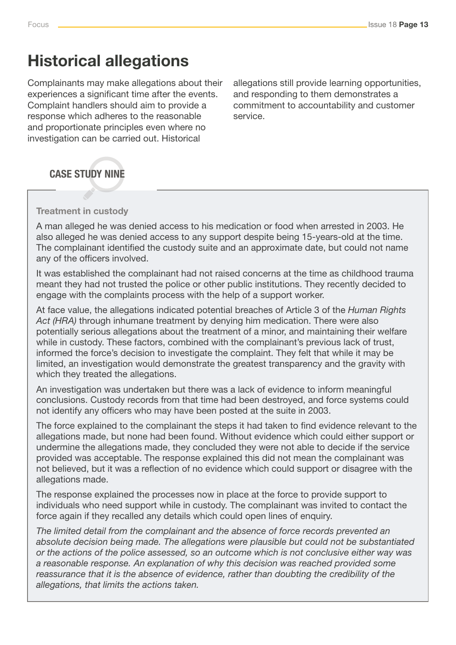# <span id="page-12-0"></span>Historical allegations

Complainants may make allegations about their experiences a significant time after the events. Complaint handlers should aim to provide a response which adheres to the reasonable and proportionate principles even where no investigation can be carried out. Historical

allegations still provide learning opportunities, and responding to them demonstrates a commitment to accountability and customer service.

## CASE STUDY NINE

#### Treatment in custody

A man alleged he was denied access to his medication or food when arrested in 2003. He also alleged he was denied access to any support despite being 15-years-old at the time. The complainant identified the custody suite and an approximate date, but could not name any of the officers involved.

It was established the complainant had not raised concerns at the time as childhood trauma meant they had not trusted the police or other public institutions. They recently decided to engage with the complaints process with the help of a support worker.

At face value, the allegations indicated potential breaches of Article 3 of the *Human Rights Act (HRA)* through inhumane treatment by denying him medication. There were also potentially serious allegations about the treatment of a minor, and maintaining their welfare while in custody. These factors, combined with the complainant's previous lack of trust, informed the force's decision to investigate the complaint. They felt that while it may be limited, an investigation would demonstrate the greatest transparency and the gravity with which they treated the allegations.

An investigation was undertaken but there was a lack of evidence to inform meaningful conclusions. Custody records from that time had been destroyed, and force systems could not identify any officers who may have been posted at the suite in 2003.

The force explained to the complainant the steps it had taken to find evidence relevant to the allegations made, but none had been found. Without evidence which could either support or undermine the allegations made, they concluded they were not able to decide if the service provided was acceptable. The response explained this did not mean the complainant was not believed, but it was a reflection of no evidence which could support or disagree with the allegations made.

The response explained the processes now in place at the force to provide support to individuals who need support while in custody. The complainant was invited to contact the force again if they recalled any details which could open lines of enquiry.

*The limited detail from the complainant and the absence of force records prevented an absolute decision being made. The allegations were plausible but could not be substantiated or the actions of the police assessed, so an outcome which is not conclusive either way was a reasonable response. An explanation of why this decision was reached provided some*  reassurance that it is the absence of evidence, rather than doubting the credibility of the *allegations, that limits the actions taken.*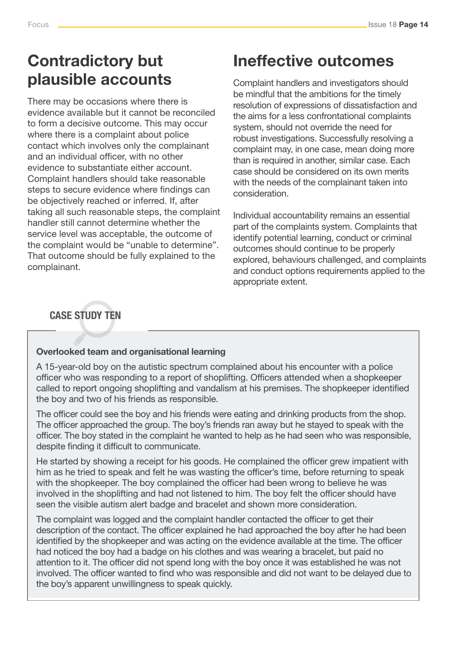# Contradictory but plausible accounts

There may be occasions where there is evidence available but it cannot be reconciled to form a decisive outcome. This may occur where there is a complaint about police contact which involves only the complainant and an individual officer, with no other evidence to substantiate either account. Complaint handlers should take reasonable steps to secure evidence where findings can be objectively reached or inferred. If, after taking all such reasonable steps, the complaint handler still cannot determine whether the service level was acceptable, the outcome of the complaint would be "unable to determine". That outcome should be fully explained to the complainant.

# Ineffective outcomes

Complaint handlers and investigators should be mindful that the ambitions for the timely resolution of expressions of dissatisfaction and the aims for a less confrontational complaints system, should not override the need for robust investigations. Successfully resolving a complaint may, in one case, mean doing more than is required in another, similar case. Each case should be considered on its own merits with the needs of the complainant taken into consideration.

Individual accountability remains an essential part of the complaints system. Complaints that identify potential learning, conduct or criminal outcomes should continue to be properly explored, behaviours challenged, and complaints and conduct options requirements applied to the appropriate extent.

## CASE STUDY TEN

#### Overlooked team and organisational learning

A 15-year-old boy on the autistic spectrum complained about his encounter with a police officer who was responding to a report of shoplifting. Officers attended when a shopkeeper called to report ongoing shoplifting and vandalism at his premises. The shopkeeper identified the boy and two of his friends as responsible.

The officer could see the boy and his friends were eating and drinking products from the shop. The officer approached the group. The boy's friends ran away but he stayed to speak with the officer. The boy stated in the complaint he wanted to help as he had seen who was responsible, despite finding it difficult to communicate.

He started by showing a receipt for his goods. He complained the officer grew impatient with him as he tried to speak and felt he was wasting the officer's time, before returning to speak with the shopkeeper. The boy complained the officer had been wrong to believe he was involved in the shoplifting and had not listened to him. The boy felt the officer should have seen the visible autism alert badge and bracelet and shown more consideration.

The complaint was logged and the complaint handler contacted the officer to get their description of the contact. The officer explained he had approached the boy after he had been identified by the shopkeeper and was acting on the evidence available at the time. The officer had noticed the boy had a badge on his clothes and was wearing a bracelet, but paid no attention to it. The officer did not spend long with the boy once it was established he was not involved. The officer wanted to find who was responsible and did not want to be delayed due to the boy's apparent unwillingness to speak quickly.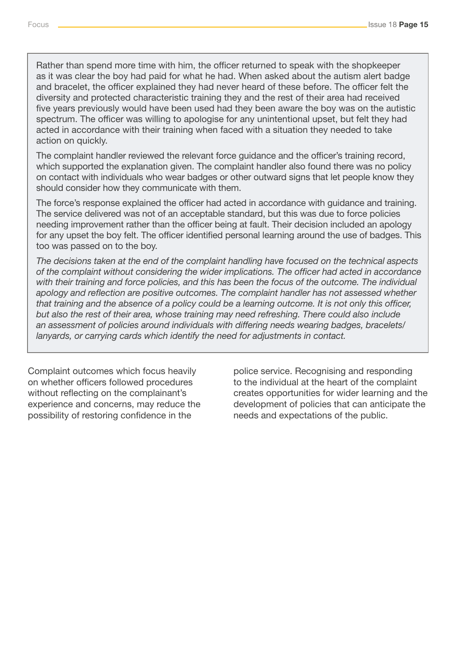Rather than spend more time with him, the officer returned to speak with the shopkeeper as it was clear the boy had paid for what he had. When asked about the autism alert badge and bracelet, the officer explained they had never heard of these before. The officer felt the diversity and protected characteristic training they and the rest of their area had received five years previously would have been used had they been aware the boy was on the autistic spectrum. The officer was willing to apologise for any unintentional upset, but felt they had acted in accordance with their training when faced with a situation they needed to take action on quickly.

The complaint handler reviewed the relevant force guidance and the officer's training record, which supported the explanation given. The complaint handler also found there was no policy on contact with individuals who wear badges or other outward signs that let people know they should consider how they communicate with them.

The force's response explained the officer had acted in accordance with guidance and training. The service delivered was not of an acceptable standard, but this was due to force policies needing improvement rather than the officer being at fault. Their decision included an apology for any upset the boy felt. The officer identified personal learning around the use of badges. This too was passed on to the boy.

*The decisions taken at the end of the complaint handling have focused on the technical aspects of the complaint without considering the wider implications. The officer had acted in accordance with their training and force policies, and this has been the focus of the outcome. The individual apology and reflection are positive outcomes. The complaint handler has not assessed whether that training and the absence of a policy could be a learning outcome. It is not only this officer, but also the rest of their area, whose training may need refreshing. There could also include an assessment of policies around individuals with differing needs wearing badges, bracelets/ lanyards, or carrying cards which identify the need for adjustments in contact.*

Complaint outcomes which focus heavily on whether officers followed procedures without reflecting on the complainant's experience and concerns, may reduce the possibility of restoring confidence in the

police service. Recognising and responding to the individual at the heart of the complaint creates opportunities for wider learning and the development of policies that can anticipate the needs and expectations of the public.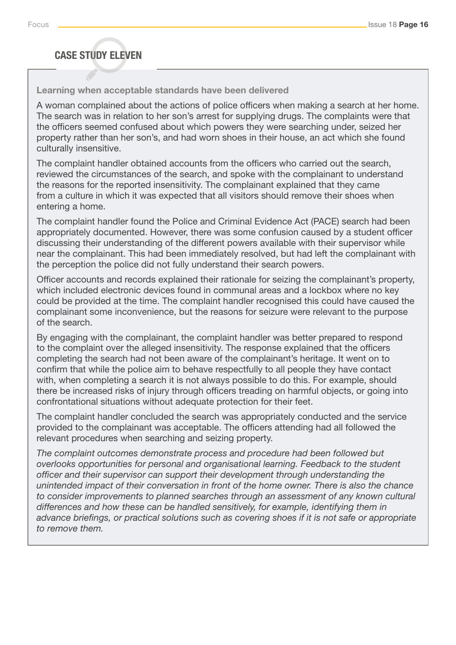### CASE STUDY ELEVEN

#### Learning when acceptable standards have been delivered

A woman complained about the actions of police officers when making a search at her home. The search was in relation to her son's arrest for supplying drugs. The complaints were that the officers seemed confused about which powers they were searching under, seized her property rather than her son's, and had worn shoes in their house, an act which she found culturally insensitive.

The complaint handler obtained accounts from the officers who carried out the search, reviewed the circumstances of the search, and spoke with the complainant to understand the reasons for the reported insensitivity. The complainant explained that they came from a culture in which it was expected that all visitors should remove their shoes when entering a home.

The complaint handler found the Police and Criminal Evidence Act (PACE) search had been appropriately documented. However, there was some confusion caused by a student officer discussing their understanding of the different powers available with their supervisor while near the complainant. This had been immediately resolved, but had left the complainant with the perception the police did not fully understand their search powers.

Officer accounts and records explained their rationale for seizing the complainant's property, which included electronic devices found in communal areas and a lockbox where no key could be provided at the time. The complaint handler recognised this could have caused the complainant some inconvenience, but the reasons for seizure were relevant to the purpose of the search.

By engaging with the complainant, the complaint handler was better prepared to respond to the complaint over the alleged insensitivity. The response explained that the officers completing the search had not been aware of the complainant's heritage. It went on to confirm that while the police aim to behave respectfully to all people they have contact with, when completing a search it is not always possible to do this. For example, should there be increased risks of injury through officers treading on harmful objects, or going into confrontational situations without adequate protection for their feet.

The complaint handler concluded the search was appropriately conducted and the service provided to the complainant was acceptable. The officers attending had all followed the relevant procedures when searching and seizing property.

*The complaint outcomes demonstrate process and procedure had been followed but overlooks opportunities for personal and organisational learning. Feedback to the student officer and their supervisor can support their development through understanding the unintended impact of their conversation in front of the home owner. There is also the chance to consider improvements to planned searches through an assessment of any known cultural differences and how these can be handled sensitively, for example, identifying them in advance briefings, or practical solutions such as covering shoes if it is not safe or appropriate to remove them.*